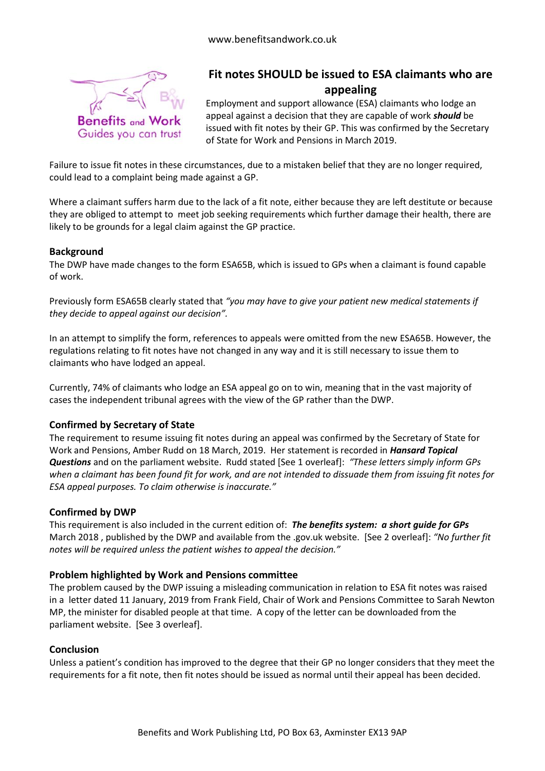

# **Fit notes SHOULD be issued to ESA claimants who are appealing**

Employment and support allowance (ESA) claimants who lodge an appeal against a decision that they are capable of work *should* be issued with fit notes by their GP. This was confirmed by the Secretary of State for Work and Pensions in March 2019.

Failure to issue fit notes in these circumstances, due to a mistaken belief that they are no longer required, could lead to a complaint being made against a GP.

Where a claimant suffers harm due to the lack of a fit note, either because they are left destitute or because they are obliged to attempt to meet job seeking requirements which further damage their health, there are likely to be grounds for a legal claim against the GP practice.

## **Background**

The DWP have made changes to the form ESA65B, which is issued to GPs when a claimant is found capable of work.

Previously form ESA65B clearly stated that *"you may have to give your patient new medical statements if they decide to appeal against our decision".*

In an attempt to simplify the form, references to appeals were omitted from the new ESA65B. However, the regulations relating to fit notes have not changed in any way and it is still necessary to issue them to claimants who have lodged an appeal.

Currently, 74% of claimants who lodge an ESA appeal go on to win, meaning that in the vast majority of cases the independent tribunal agrees with the view of the GP rather than the DWP.

## **Confirmed by Secretary of State**

The requirement to resume issuing fit notes during an appeal was confirmed by the Secretary of State for Work and Pensions, Amber Rudd on 18 March, 2019. Her statement is recorded in *Hansard Topical Questions* and on the parliament website. Rudd stated [See 1 overleaf]: *"These letters simply inform GPs when a claimant has been found fit for work, and are not intended to dissuade them from issuing fit notes for ESA appeal purposes. To claim otherwise is inaccurate."*

## **Confirmed by DWP**

This requirement is also included in the current edition of: *The benefits system: a short guide for GPs* March 2018 , published by the DWP and available from the .gov.uk website. [See 2 overleaf]: *"No further fit notes will be required unless the patient wishes to appeal the decision."*

## **Problem highlighted by Work and Pensions committee**

The problem caused by the DWP issuing a misleading communication in relation to ESA fit notes was raised in a letter dated 11 January, 2019 from Frank Field, Chair of Work and Pensions Committee to Sarah Newton MP, the minister for disabled people at that time. A copy of the letter can be downloaded from the parliament website. [See 3 overleaf].

## **Conclusion**

Unless a patient's condition has improved to the degree that their GP no longer considers that they meet the requirements for a fit note, then fit notes should be issued as normal until their appeal has been decided.